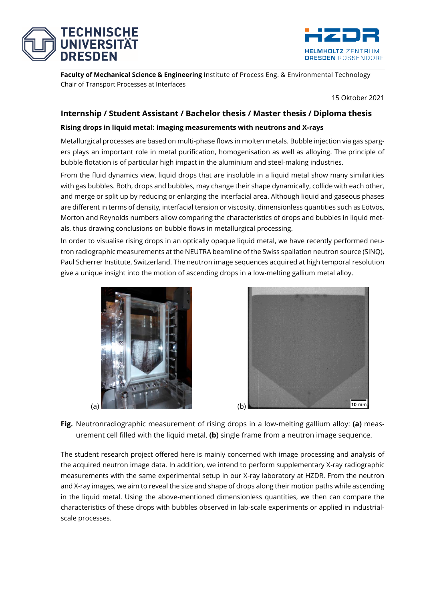



**Faculty of Mechanical Science & Engineering** Institute of Process Eng. & Environmental Technology Chair of Transport Processes at Interfaces

15 Oktober 2021

## **Internship / Student Assistant / Bachelor thesis / Master thesis / Diploma thesis**

## **Rising drops in liquid metal: imaging measurements with neutrons and X-rays**

Metallurgical processes are based on multi-phase flows in molten metals. Bubble injection via gas spargers plays an important role in metal purification, homogenisation as well as alloying. The principle of bubble flotation is of particular high impact in the aluminium and steel-making industries.

From the fluid dynamics view, liquid drops that are insoluble in a liquid metal show many similarities with gas bubbles. Both, drops and bubbles, may change their shape dynamically, collide with each other, and merge or split up by reducing or enlarging the interfacial area. Although liquid and gaseous phases are different in terms of density, interfacial tension or viscosity, dimensionless quantities such as Eötvös, Morton and Reynolds numbers allow comparing the characteristics of drops and bubbles in liquid metals, thus drawing conclusions on bubble flows in metallurgical processing.

In order to visualise rising drops in an optically opaque liquid metal, we have recently performed neutron radiographic measurements at the NEUTRA beamline of the Swiss spallation neutron source (SINQ), Paul Scherrer Institute, Switzerland. The neutron image sequences acquired at high temporal resolution give a unique insight into the motion of ascending drops in a low-melting gallium metal alloy.





**Fig.** Neutronradiographic measurement of rising drops in a low-melting gallium alloy: **(a)** measurement cell filled with the liquid metal, **(b)** single frame from a neutron image sequence.

The student research project offered here is mainly concerned with image processing and analysis of the acquired neutron image data. In addition, we intend to perform supplementary X-ray radiographic measurements with the same experimental setup in our X-ray laboratory at HZDR. From the neutron and X-ray images, we aim to reveal the size and shape of drops along their motion paths while ascending in the liquid metal. Using the above-mentioned dimensionless quantities, we then can compare the characteristics of these drops with bubbles observed in lab-scale experiments or applied in industrialscale processes.